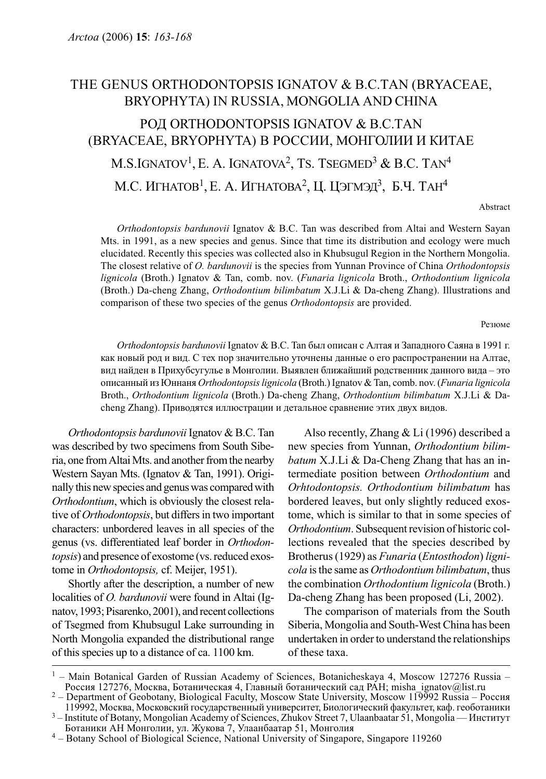## THE GENUS ORTHODONTOPSIS IGNATOV & B.C.TAN (BRYACEAE, BRYOPHYTA) IN RUSSIA, MONGOLIA AND CHINA

# РОД ORTHODONTOPSIS IGNATOV & B.C.TAN (BRYACEAE, BRYOPHYTA) В РОССИИ, МОНГОЛИИ И КИТАЕ M.S.IGNATOV<sup>1</sup>, E. A. IGNATOVA<sup>2</sup>, TS. TSEGMED<sup>3</sup> & B.C. TAN<sup>4</sup> М.С. ИГНАТОВ<sup>1</sup>, Е. А. ИГНАТОВА<sup>2</sup>, Ц. ЦЭГМЭД<sup>3</sup>, Б.Ч. ТАН<sup>4</sup>

Abstract

Orthodontopsis bardunovii Ignatov & B.C. Tan was described from Altai and Western Sayan Mts. in 1991, as a new species and genus. Since that time its distribution and ecology were much elucidated. Recently this species was collected also in Khubsugul Region in the Northern Mongolia. The closest relative of O. bardunovii is the species from Yunnan Province of China Orthodontopsis lignicola (Broth.) Ignatov & Tan, comb. nov. (Funaria lignicola Broth., Orthodontium lignicola (Broth.) Da-cheng Zhang, Orthodontium bilimbatum X.J.Li & Da-cheng Zhang). Illustrations and comparison of these two species of the genus Orthodontopsis are provided.

Резюме

Orthodontopsis bardunovii Ignatov & B.C. Tan был описан с Алтая и Западного Саяна в 1991 г. как новый род и вид. С тех пор значительно уточнены данные о его распространении на Алтае, вид найден в Прихубсугулье в Монголии. Выявлен ближайший родственник данного вида – это описанный из Юннаня Orthodontopsis lignicola (Broth.) Ignatov & Tan, comb. nov. (Funaria lignicola Broth., Orthodontium lignicola (Broth.) Da-cheng Zhang, Orthodontium bilimbatum X.J.Li & Dacheng Zhang). Приводятся иллюстрации и детальное сравнение этих двух видов.

Orthodontopsis bardunovii Ignatov & B.C. Tan was described by two specimens from South Siberia, one from Altai Mts. and another from the nearby Western Sayan Mts. (Ignatov & Tan, 1991). Originally this new species and genus was compared with Orthodontium, which is obviously the closest relative of Orthodontopsis, but differs in two important characters: unbordered leaves in all species of the genus (vs. differentiated leaf border in Orthodontopsis) and presence of exostome (vs. reduced exostome in Orthodontopsis, cf. Meijer, 1951).

Shortly after the description, a number of new localities of *O. bardunovii* were found in Altai (Ignatov, 1993; Pisarenko, 2001), and recent collections of Tsegmed from Khubsugul Lake surrounding in North Mongolia expanded the distributional range of this species up to a distance of ca. 1100 km.

Also recently, Zhang & Li (1996) described a new species from Yunnan, Orthodontium bilimbatum X.J.Li & Da-Cheng Zhang that has an intermediate position between Orthodontium and Orhtodontopsis. Orthodontium bilimbatum has bordered leaves, but only slightly reduced exostome, which is similar to that in some species of Orthodontium. Subsequent revision of historic collections revealed that the species described by Brotherus (1929) as Funaria (Entosthodon) lignicola is the same as Orthodontium bilimbatum, thus the combination Orthodontium lignicola (Broth.) Da-cheng Zhang has been proposed (Li, 2002).

The comparison of materials from the South Siberia, Mongolia and South-West China has been undertaken in order to understand the relationships of these taxa.

<sup>&</sup>lt;sup>1</sup> – Main Botanical Garden of Russian Academy of Sciences, Botanicheskaya 4, Moscow 127276 Russia – Россия 127276, Москва, Ботаническая 4, Главный ботанический сад РАН; misha ignatov@list.ru

<sup>&</sup>lt;sup>2</sup> – Department of Geobotany, Biological Faculty, Moscow State University, Moscow 119992 Russia – Россия<br>119992, Москва, Московский государственный университет, Биологический факультет, каф. геоботаники

<sup>&</sup>lt;sup>3</sup> – Institute of Botany, Mongolian Academy of Sciences, Zhukov Street 7, Ulaanbaatar 51, Mongolia — Институт<br>Ботаники АН Монголии, ул. Жукова 7, Улаанбаатар 51, Монголия

<sup>&</sup>lt;sup>4</sup> – Botany School of Biological Science, National University of Singapore, Singapore 119260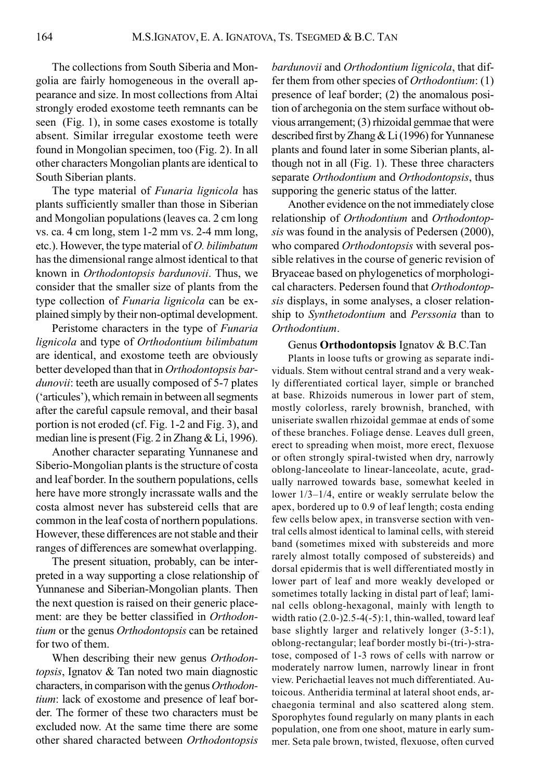The collections from South Siberia and Mongolia are fairly homogeneous in the overall appearance and size. In most collections from Altai strongly eroded exostome teeth remnants can be seen (Fig. 1), in some cases exostome is totally absent. Similar irregular exostome teeth were found in Mongolian specimen, too (Fig. 2). In all other characters Mongolian plants are identical to South Siberian plants.

The type material of Funaria lignicola has plants sufficiently smaller than those in Siberian and Mongolian populations (leaves ca. 2 cm long vs. ca. 4 cm long, stem 1-2 mm vs. 2-4 mm long, etc.). However, the type material of O. bilimbatum has the dimensional range almost identical to that known in Orthodontopsis bardunovii. Thus, we consider that the smaller size of plants from the type collection of Funaria lignicola can be explained simply by their non-optimal development.

Peristome characters in the type of Funaria lignicola and type of Orthodontium bilimbatum are identical, and exostome teeth are obviously better developed than that in Orthodontopsis bardunovii: teeth are usually composed of 5-7 plates ('articules'), which remain in between all segments after the careful capsule removal, and their basal portion is not eroded (cf. Fig. 1-2 and Fig. 3), and median line is present (Fig. 2 in Zhang & Li, 1996).

Another character separating Yunnanese and Siberio-Mongolian plants is the structure of costa and leaf border. In the southern populations, cells here have more strongly incrassate walls and the costa almost never has substereid cells that are common in the leaf costa of northern populations. However, these differences are not stable and their ranges of differences are somewhat overlapping.

The present situation, probably, can be interpreted in a way supporting a close relationship of Yunnanese and Siberian-Mongolian plants. Then the next question is raised on their generic placement: are they be better classified in Orthodontium or the genus Orthodontopsis can be retained for two of them.

When describing their new genus Orthodontopsis, Ignatov & Tan noted two main diagnostic characters, in comparison with the genus Orthodontium: lack of exostome and presence of leaf border. The former of these two characters must be excluded now. At the same time there are some other shared characted between Orthodontopsis bardunovii and Orthodontium lignicola, that differ them from other species of Orthodontium: (1) presence of leaf border; (2) the anomalous position of archegonia on the stem surface without obvious arrangement; (3) rhizoidal gemmae that were described first by Zhang & Li (1996) for Yunnanese plants and found later in some Siberian plants, although not in all (Fig. 1). These three characters separate Orthodontium and Orthodontopsis, thus supporing the generic status of the latter.

Another evidence on the not immediately close relationship of Orthodontium and Orthodontopsis was found in the analysis of Pedersen (2000), who compared *Orthodontopsis* with several possible relatives in the course of generic revision of Bryaceae based on phylogenetics of morphological characters. Pedersen found that Orthodontopsis displays, in some analyses, a closer relationship to Synthetodontium and Perssonia than to Orthodontium.

### Genus Orthodontopsis Ignatov & B.C.Tan

Plants in loose tufts or growing as separate individuals. Stem without central strand and a very weakly differentiated cortical layer, simple or branched at base. Rhizoids numerous in lower part of stem, mostly colorless, rarely brownish, branched, with uniseriate swallen rhizoidal gemmae at ends of some of these branches. Foliage dense. Leaves dull green, erect to spreading when moist, more erect, flexuose or often strongly spiral-twisted when dry, narrowly oblong-lanceolate to linear-lanceolate, acute, gradually narrowed towards base, somewhat keeled in lower 1/3–1/4, entire or weakly serrulate below the apex, bordered up to 0.9 of leaf length; costa ending few cells below apex, in transverse section with ventral cells almost identical to laminal cells, with stereid band (sometimes mixed with substereids and more rarely almost totally composed of substereids) and dorsal epidermis that is well differentiated mostly in lower part of leaf and more weakly developed or sometimes totally lacking in distal part of leaf; laminal cells oblong-hexagonal, mainly with length to width ratio (2.0-)2.5-4(-5):1, thin-walled, toward leaf base slightly larger and relatively longer (3-5:1), oblong-rectangular; leaf border mostly bi-(tri-)-stratose, composed of 1-3 rows of cells with narrow or moderately narrow lumen, narrowly linear in front view. Perichaetial leaves not much differentiated. Autoicous. Antheridia terminal at lateral shoot ends, archaegonia terminal and also scattered along stem. Sporophytes found regularly on many plants in each population, one from one shoot, mature in early summer. Seta pale brown, twisted, flexuose, often curved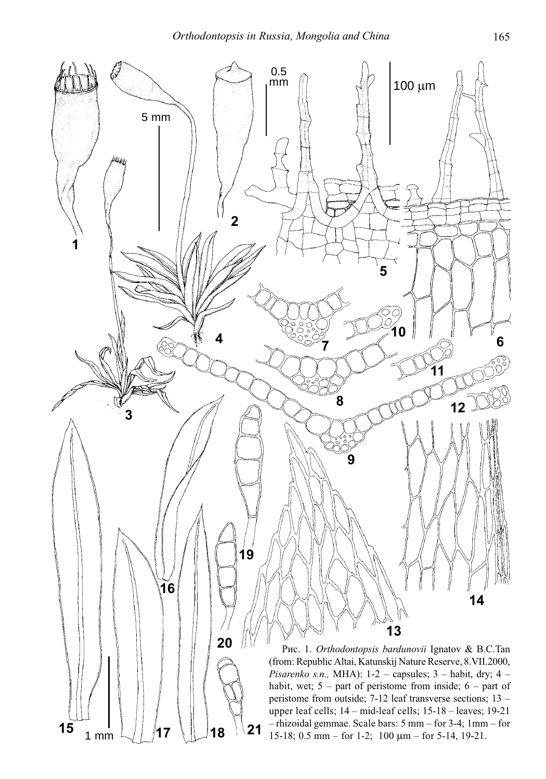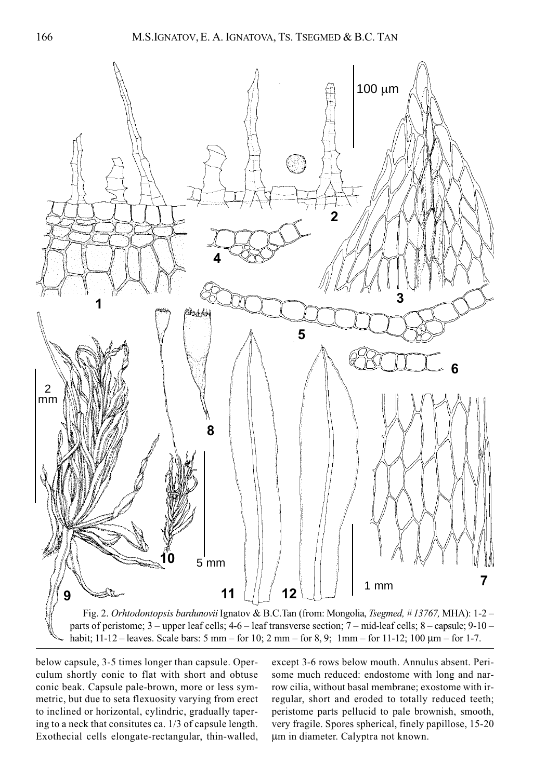

habit; 11-12 – leaves. Scale bars: 5 mm – for 10; 2 mm – for 8, 9; 1mm – for 11-12; 100 μm – for 1-7.

below capsule, 3-5 times longer than capsule. Operculum shortly conic to flat with short and obtuse conic beak. Capsule pale-brown, more or less symmetric, but due to seta flexuosity varying from erect to inclined or horizontal, cylindric, gradually tapering to a neck that consitutes ca. 1/3 of capsule length. Exothecial cells elongate-rectangular, thin-walled, except 3-6 rows below mouth. Annulus absent. Perisome much reduced: endostome with long and narrow cilia, without basal membrane; exostome with irregular, short and eroded to totally reduced teeth; peristome parts pellucid to pale brownish, smooth, very fragile. Spores spherical, finely papillose, 15-20 μm in diameter. Calyptra not known.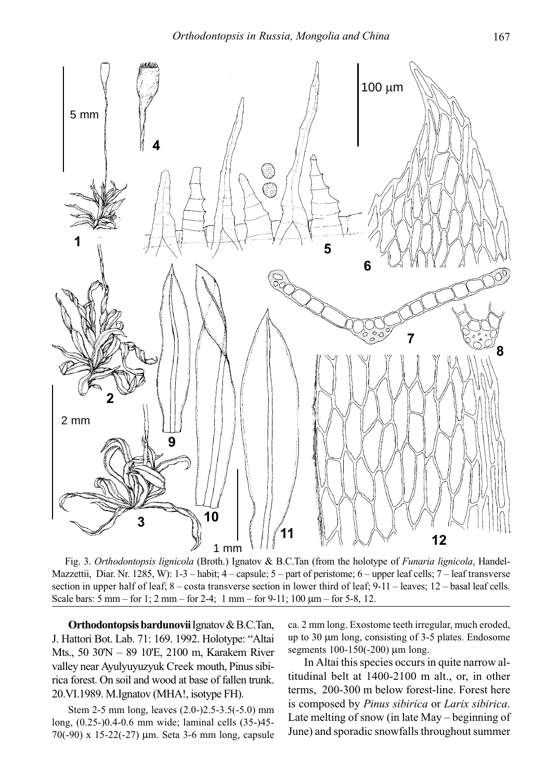

Fig. 3. Orthodontopsis lignicola (Broth.) Ignatov & B.C.Tan (from the holotype of Funaria lignicola, Handel-Mazzettii, Diar. Nr. 1285, W): 1-3 – habit; 4 – capsule; 5 – part of peristome; 6 – upper leaf cells; 7 – leaf transverse section in upper half of leaf;  $8 - \text{costa}$  transverse section in lower third of leaf;  $9-11 - \text{leaves}$ ;  $12 - \text{basal leaf cells}$ . Scale bars: 5 mm – for 1; 2 mm – for 2-4; 1 mm – for 9-11; 100 μm – for 5-8, 12.

Orthodontopsis bardunovii Ignatov & B.C.Tan, J. Hattori Bot. Lab. 71: 169. 1992. Holotype: "Altai Mts., 50 30'N – 89 10'E, 2100 m, Karakem River valley near Ayulyuyuzyuk Creek mouth, Pinus sibirica forest. On soil and wood at base of fallen trunk. 20.VI.1989. M.Ignatov (MHA!, isotype FH).

Stem 2-5 mm long, leaves (2.0-)2.5-3.5(-5.0) mm long, (0.25-)0.4-0.6 mm wide; laminal cells (35-)45- 70(-90) x 15-22(-27) μm. Seta 3-6 mm long, capsule ca. 2 mm long. Exostome teeth irregular, much eroded, up to 30 μm long, consisting of 3-5 plates. Endosome segments 100-150(-200) μm long.

In Altai this species occurs in quite narrow altitudinal belt at 1400-2100 m alt., or, in other terms, 200-300 m below forest-line. Forest here is composed by Pinus sibirica or Larix sibirica. Late melting of snow (in late May – beginning of June) and sporadic snowfalls throughout summer